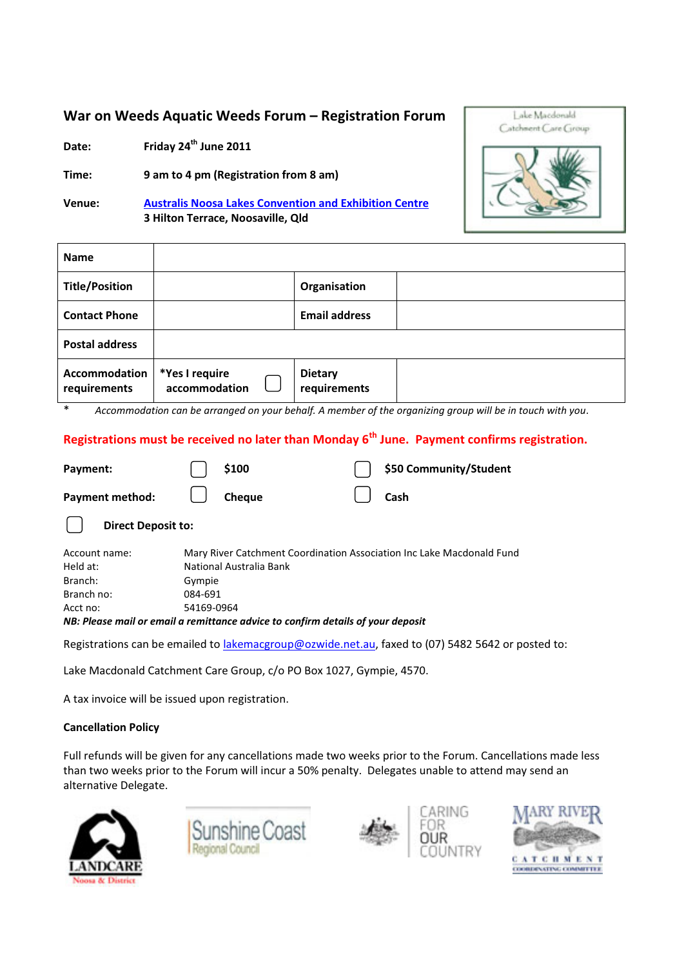#### **War on Weeds Aquatic Weeds Forum - Registration Forum**

**Date: Friday 24th June 2011** 

**Time: 9 am to 4 pm (Registration from 8 am)** 

**Venue: Australis Noosa Lakes Convention and Exhibition Centre 3 Hilton Terrace, Noosaville, Qld** 



| <b>Name</b>                          |                                 |                                |  |
|--------------------------------------|---------------------------------|--------------------------------|--|
| <b>Title/Position</b>                |                                 | Organisation                   |  |
| <b>Contact Phone</b>                 |                                 | <b>Email address</b>           |  |
| <b>Postal address</b>                |                                 |                                |  |
| <b>Accommodation</b><br>requirements | *Yes I require<br>accommodation | <b>Dietary</b><br>requirements |  |

\* *Accommodation can be arranged on your behalf. A member of the organizing group will be in touch with you.* 

#### **Registrations must be received no later than Monday 6th June. Payment confirms registration.**

| Payment:                  | \$100                                                                           | \$50 Community/Student                                                                            |  |  |  |
|---------------------------|---------------------------------------------------------------------------------|---------------------------------------------------------------------------------------------------|--|--|--|
| Payment method:           | <b>Cheque</b>                                                                   | Cash                                                                                              |  |  |  |
| <b>Direct Deposit to:</b> |                                                                                 |                                                                                                   |  |  |  |
| Account name:             | Mary River Catchment Coordination Association Inc Lake Macdonald Fund           |                                                                                                   |  |  |  |
| Held at:                  | National Australia Bank                                                         |                                                                                                   |  |  |  |
| Branch:                   | Gympie                                                                          |                                                                                                   |  |  |  |
| Branch no:                | 084-691                                                                         |                                                                                                   |  |  |  |
| Acct no:                  | 54169-0964                                                                      |                                                                                                   |  |  |  |
|                           | NB: Please mail or email a remittance advice to confirm details of your deposit |                                                                                                   |  |  |  |
|                           |                                                                                 | Registrations can be emailed to lakemacgroup@ozwide.net.au, faxed to (07) 5482 5642 or posted to: |  |  |  |

Lake Macdonald Catchment Care Group, c/o PO Box 1027, Gympie, 4570.

A tax invoice will be issued upon registration.

#### **Cancellation Policy**

Full refunds will be given for any cancellations made two weeks prior to the Forum. Cancellations made less than two weeks prior to the Forum will incur a 50% penalty. Delegates unable to attend may send an alternative Delegate.







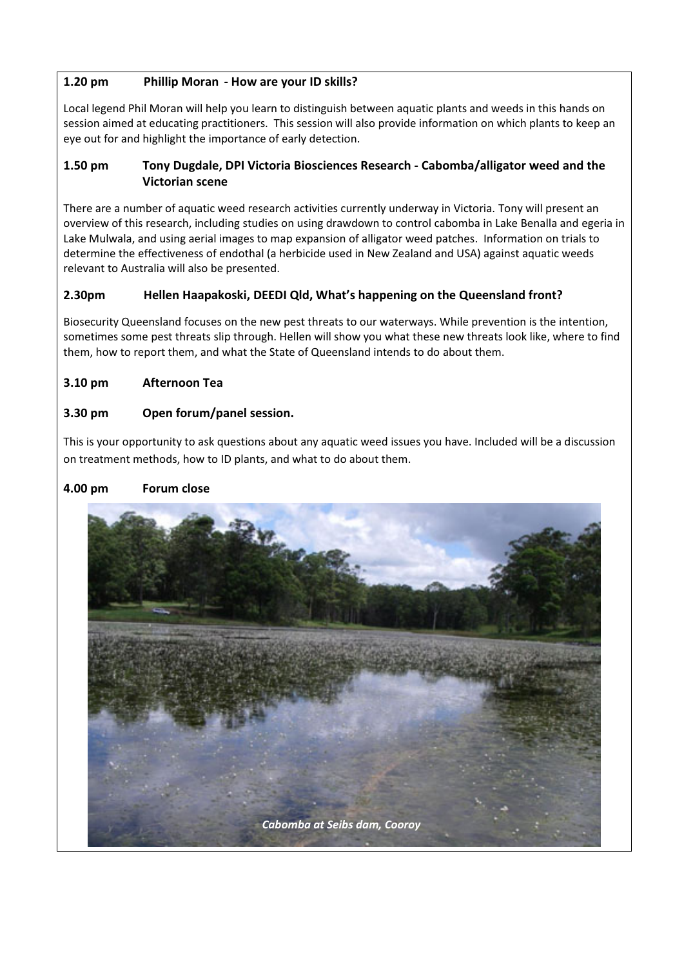#### **1.20 pm Phillip Moran - How are your ID skills?**

Local legend Phil Moran will help you learn to distinguish between aquatic plants and weeds in this hands on session aimed at educating practitioners. This session will also provide information on which plants to keep an eye out for and highlight the importance of early detection.

#### **1.50 pm Tony Dugdale, DPI Victoria Biosciences Research - Cabomba/alligator weed and the Victorian scene**

There are a number of aquatic weed research activities currently underway in Victoria. Tony will present an overview of this research, including studies on using drawdown to control cabomba in Lake Benalla and egeria in Lake Mulwala, and using aerial images to map expansion of alligator weed patches. Information on trials to determine the effectiveness of endothal (a herbicide used in New Zealand and USA) against aquatic weeds relevant to Australia will also be presented.

#### 2.30pm Hellen Haapakoski, DEEDI Qld, What's happening on the Queensland front?

Biosecurity Queensland focuses on the new pest threats to our waterways. While prevention is the intention, sometimes some pest threats slip through. Hellen will show you what these new threats look like, where to find them, how to report them, and what the State of Queensland intends to do about them.

#### **3.10 pm Afternoon Tea**

#### **3.30 pm Open forum/panel session.**

This is your opportunity to ask questions about any aquatic weed issues you have. Included will be a discussion on treatment methods, how to ID plants, and what to do about them.

#### **4.00 pm Forum close**

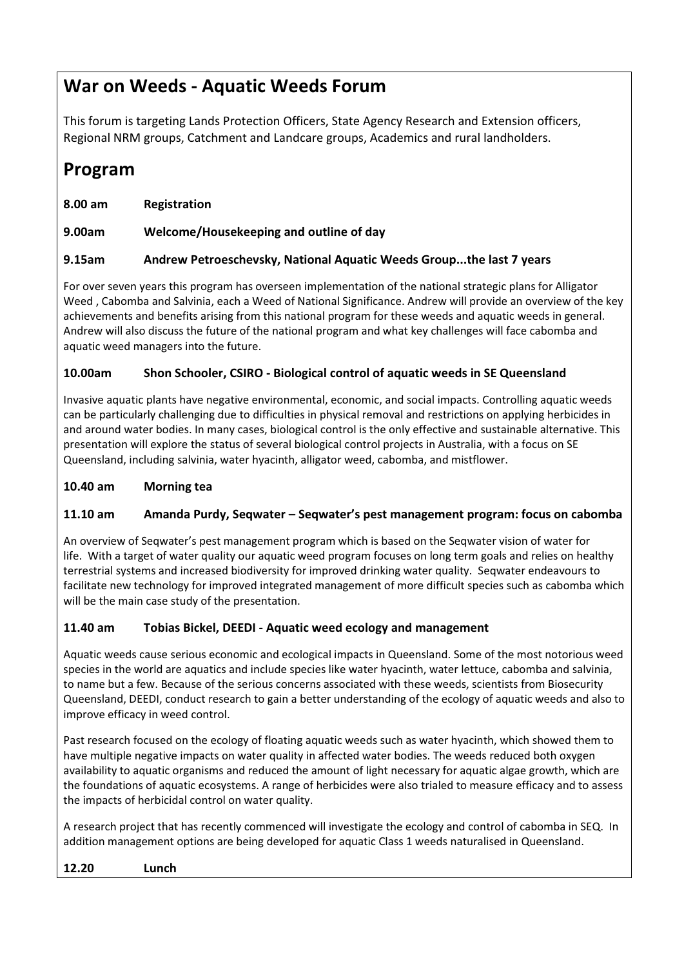## **War on Weeds - Aquatic Weeds Forum**

This forum is targeting Lands Protection Officers, State Agency Research and Extension officers, Regional NRM groups, Catchment and Landcare groups, Academics and rural landholders.

## **Program**

| 8.00 am | <b>Registration</b>                     |
|---------|-----------------------------------------|
| 9.00am  | Welcome/Housekeeping and outline of day |

#### **9.15am Andrew Petroeschevsky, National Aquatic Weeds Group...the last 7 years**

For over seven years this program has overseen implementation of the national strategic plans for Alligator Weed , Cabomba and Salvinia, each a Weed of National Significance. Andrew will provide an overview of the key achievements and benefits arising from this national program for these weeds and aquatic weeds in general. Andrew will also discuss the future of the national program and what key challenges will face cabomba and aquatic weed managers into the future.

#### **10.00am Shon Schooler, CSIRO - Biological control of aquatic weeds in SE Queensland**

Invasive aquatic plants have negative environmental, economic, and social impacts. Controlling aquatic weeds can be particularly challenging due to difficulties in physical removal and restrictions on applying herbicides in and around water bodies. In many cases, biological control is the only effective and sustainable alternative. This presentation will explore the status of several biological control projects in Australia, with a focus on SE Queensland, including salvinia, water hyacinth, alligator weed, cabomba, and mistflower.

#### **10.40 am Morning tea**

#### 11.10 am Amanda Purdy, Seqwater - Seqwater's pest management program: focus on cabomba

An overview of Seqwater's pest management program which is based on the Seqwater vision of water for life. With a target of water quality our aquatic weed program focuses on long term goals and relies on healthy terrestrial systems and increased biodiversity for improved drinking water quality. Seqwater endeavours to facilitate new technology for improved integrated management of more difficult species such as cabomba which will be the main case study of the presentation.

#### **11.40 am Tobias Bickel, DEEDI - Aquatic weed ecology and management**

Aquatic weeds cause serious economic and ecological impacts in Queensland. Some of the most notorious weed species in the world are aquatics and include species like water hyacinth, water lettuce, cabomba and salvinia, to name but a few. Because of the serious concerns associated with these weeds, scientists from Biosecurity Queensland, DEEDI, conduct research to gain a better understanding of the ecology of aquatic weeds and also to improve efficacy in weed control.

Past research focused on the ecology of floating aquatic weeds such as water hyacinth, which showed them to have multiple negative impacts on water quality in affected water bodies. The weeds reduced both oxygen availability to aquatic organisms and reduced the amount of light necessary for aquatic algae growth, which are the foundations of aquatic ecosystems. A range of herbicides were also trialed to measure efficacy and to assess the impacts of herbicidal control on water quality.

A research project that has recently commenced will investigate the ecology and control of cabomba in SEQ. In addition management options are being developed for aquatic Class 1 weeds naturalised in Queensland.

#### **12.20 Lunch**